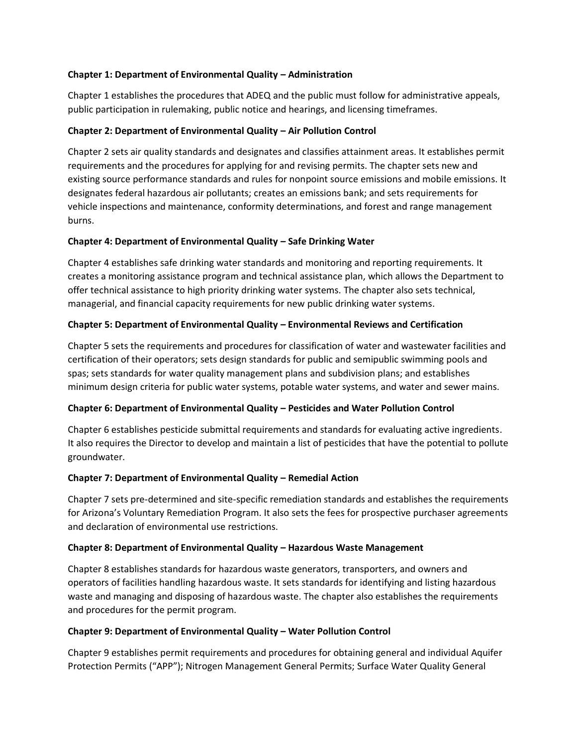### **Chapter 1: Department of Environmental Quality – Administration**

Chapter 1 establishes the procedures that ADEQ and the public must follow for administrative appeals, public participation in rulemaking, public notice and hearings, and licensing timeframes.

### **Chapter 2: Department of Environmental Quality – Air Pollution Control**

Chapter 2 sets air quality standards and designates and classifies attainment areas. It establishes permit requirements and the procedures for applying for and revising permits. The chapter sets new and existing source performance standards and rules for nonpoint source emissions and mobile emissions. It designates federal hazardous air pollutants; creates an emissions bank; and sets requirements for vehicle inspections and maintenance, conformity determinations, and forest and range management burns.

### **Chapter 4: Department of Environmental Quality – Safe Drinking Water**

Chapter 4 establishes safe drinking water standards and monitoring and reporting requirements. It creates a monitoring assistance program and technical assistance plan, which allows the Department to offer technical assistance to high priority drinking water systems. The chapter also sets technical, managerial, and financial capacity requirements for new public drinking water systems.

### **Chapter 5: Department of Environmental Quality – Environmental Reviews and Certification**

Chapter 5 sets the requirements and procedures for classification of water and wastewater facilities and certification of their operators; sets design standards for public and semipublic swimming pools and spas; sets standards for water quality management plans and subdivision plans; and establishes minimum design criteria for public water systems, potable water systems, and water and sewer mains.

#### **Chapter 6: Department of Environmental Quality – Pesticides and Water Pollution Control**

Chapter 6 establishes pesticide submittal requirements and standards for evaluating active ingredients. It also requires the Director to develop and maintain a list of pesticides that have the potential to pollute groundwater.

#### **Chapter 7: Department of Environmental Quality – Remedial Action**

Chapter 7 sets pre-determined and site-specific remediation standards and establishes the requirements for Arizona's Voluntary Remediation Program. It also sets the fees for prospective purchaser agreements and declaration of environmental use restrictions.

#### **Chapter 8: Department of Environmental Quality – Hazardous Waste Management**

Chapter 8 establishes standards for hazardous waste generators, transporters, and owners and operators of facilities handling hazardous waste. It sets standards for identifying and listing hazardous waste and managing and disposing of hazardous waste. The chapter also establishes the requirements and procedures for the permit program.

#### **Chapter 9: Department of Environmental Quality – Water Pollution Control**

Chapter 9 establishes permit requirements and procedures for obtaining general and individual Aquifer Protection Permits ("APP"); Nitrogen Management General Permits; Surface Water Quality General